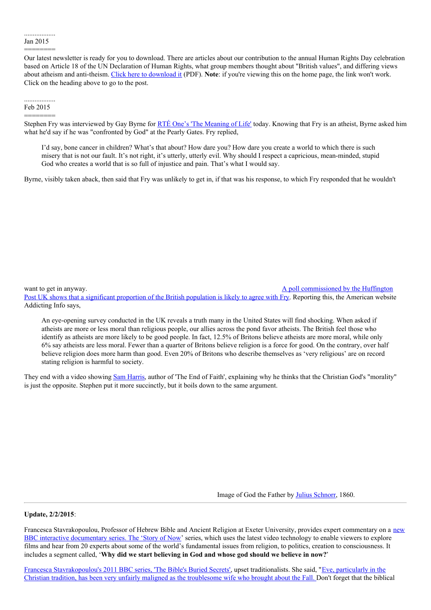## .................. Jan 2015 ========

Our latest newsletter is ready for you to download. There are articles about our contribution to the annual Human Rights Day celebration based on Article 18 of the UN Declaration of Human Rights, what group members thought about "British values", and differing views about atheism and anti-theism. Click here to [download](http://suffolkhands.org.uk/wp-content/uploads/2015/01/2015-1-SHS-News.pdf) it (PDF). **Note**: if you're viewing this on the home page, the link won't work. Click on the heading above to go to the post.

## .................. Feb 2015 ========

Stephen Fry was interviewed by Gay Byrne for RTÉ One's 'The [Meaning](http://www.rte.ie/tv/meaningoflife/) of Life' today. Knowing that Fry is an atheist, Byrne asked him what he'd say if he was "confronted by God" at the Pearly Gates. Fry replied,

I'd say, bone cancer in children? What's that about? How dare you? How dare you create a world to which there is such misery that is not our fault. It's not right, it's utterly, utterly evil. Why should I respect a capricious, mean-minded, stupid God who creates a world that is so full of injustice and pain. That's what I would say.

Byrne, visibly taken aback, then said that Fry was unlikely to get in, if that was his response, to which Fry responded that he wouldn't

## want to get in anyway. A poll [commissioned](http://www.addictinginfo.org/2014/11/08/poll-brits-view-atheists-as-more-moral-than-believers-religion-more-harmful-than-good-video/) by the Huffington

Post UK shows that a significant proportion of the British population is likely to agree with Fry. Reporting this, the American website Addicting Info says,

An eye-opening survey conducted in the UK reveals a truth many in the United States will find shocking. When asked if atheists are more or less moral than religious people, our allies across the pond favor atheists. The British feel those who identify as atheists are more likely to be good people. In fact, 12.5% of Britons believe atheists are more moral, while only 6% say atheists are less moral. Fewer than a quarter of Britons believe religion is a force for good. On the contrary, over half believe religion does more harm than good. Even 20% of Britons who describe themselves as 'very religious' are on record stating religion is harmful to society.

They end with a video showing Sam [Harris](http://www.samharris.org/), author of 'The End of Faith', explaining why he thinks that the Christian God's "morality" is just the opposite. Stephen put it more succinctly, but it boils down to the same argument.

Image of God the Father by Julius [Schnorr](http://en.wikipedia.org/wiki/Julius_Schnorr_von_Carolsfeld), 1860.

## **Update, 2/2/2015**:

Francesca [Stavrakopoulou,](http://www.exeter.ac.uk/news/featurednews/title_433277_en.html) Professor of Hebrew Bible and Ancient Religion at Exeter University, provides expert commentary on a new BBC interactive documentary series. The 'Story of Now' series, which uses the latest video technology to enable viewers to explore films and hear from 20 experts about some of the world's fundamental issues from religion, to politics, creation to consciousness. It includes a segment called, '**Why did we start believing in God and whose god should we believe in now?**'

Francesca [Stavrakopoulou](http://theanswers42.blogspot.co.uk/2011/03/women-serpents-matriarchy-and.html)['](http://www.telegraph.co.uk/culture/tvandradio/8366537/BBCs-new-face-of-religion-claims-Eve-has-been-unfairly-maligned-as-the-troublesome-wife.html)[s](http://theanswers42.blogspot.co.uk/2011/03/women-serpents-matriarchy-and.html) 2011 BBC series, 'The Bible's Buried Secrets', upset traditionalists. She said, "Eve, particularly in the Christian tradition, has been very unfairly maligned as the troublesome wife who brought about the Fall. Don't forget that the biblical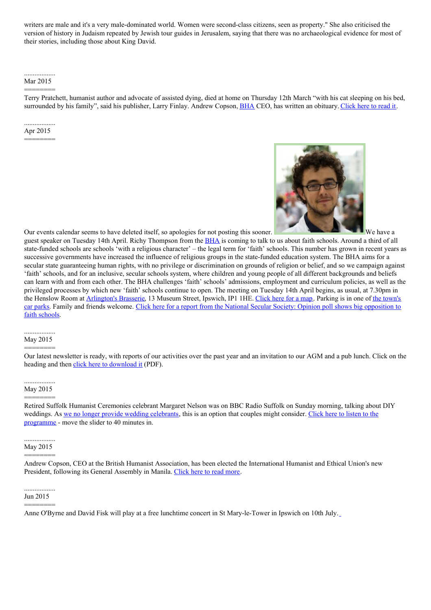writers are male and it's a very male-dominated world. Women were second-class citizens, seen as property." She also criticised the version of history in Judaism repeated by Jewish tour guides in Jerusalem, saying that there was no archaeological evidence for most of their stories, including those about King David.

## .................. Mar 2015

======== Terry Pratchett, humanist author and advocate of assisted dying, died at home on Thursday 12th March "with his cat sleeping on his bed, surrounded by his family", said his publisher, Larry Finlay. Andrew Copson, [BHA](https://humanism.org.uk/) CEO, has written an obituary. [Click](http://www.littleatoms.com/words/terry-pratchett-no-one-actually-dead-until-ripples-they-cause-world-die-away) here to read it.

## .................. Apr 2015

========



Our events calendar seems to have deleted itself, so apologies for not posting this sooner.

guest speaker on Tuesday 14th April. Richy Thompson from the **[BHA](https://humanism.org.uk/)** is coming to talk to us about faith schools. Around a third of all state-funded schools are schools 'with a religious character' – the legal term for 'faith' schools. This number has grown in recent years as successive governments have increased the influence of religious groups in the state-funded education system. The BHA aims for a secular state guaranteeing human rights, with no privilege or discrimination on grounds of religion or belief, and so we campaign against 'faith' schools, and for an inclusive, secular schools system, where children and young people of all different backgrounds and beliefs can learn with and from each other. The BHA challenges 'faith' schools' admissions, employment and curriculum policies, as well as the privileged processes by which new 'faith' schools continue to open. The meeting on Tuesday 14th April begins, as usual, at 7.30pm in the Henslow Room at [Arlington's](http://arlingtonsbrasserie.co.uk/) Brasserie, 13 Museum Street, Ipswich, IP1 1HE. [Click](https://www.google.co.uk/maps/place/Arlingtons/@52.057687,1.150547,17z/data=!3m1!4b1!4m2!3m1!1s0x47d9a02d4f7bdd03:0x6ed62c60c0787fa2) here for a map. Parking is in one of the town's car parks. Family and friends welcome. Click here for a report from the National Secular Society: Opinion poll shows big [opposition](http://www.secularism.org.uk/news/2013/09/opinion-poll-shows-big-opposition-to-faith-schools) to faith schools.

## May 2015

========

Our latest newsletter is ready, with reports of our activities over the past year and an invitation to our AGM and a pub lunch. Click on the heading and then click here to [download](http://suffolkhands.org.uk/wp-content/uploads/2014/03/2015-5-SHS-News.pdf) it (PDF).

## .................. May 2015 ========

Retired Suffolk Humanist Ceremonies celebrant Margaret Nelson was on BBC Radio Suffolk on Sunday morning, talking about DIY weddings. As we no longer provide wedding [celebrants,](http://suffolkhands.org.uk/ceremonies/weddings/) this is an option that couples might consider. Click here to listen to the [programme](http://www.bbc.co.uk/programmes/p02qxv8t#auto) - move the slider to 40 minutes in.

## .................. May 2015 ========

Andrew Copson, CEO at the British Humanist Association, has been elected the International Humanist and Ethical Union's new President, following its General Assembly in Manila. [Click](http://iheu.org/new-president-of-the-international-humanist-and-ethical-union-andrew-copson/) here to read more.

## ..................

Jun 2015 ========

Anne O'Byrne and David Fisk will play at a free lunchtime concert in St Mary-le-Tower in Ipswich on 10th July.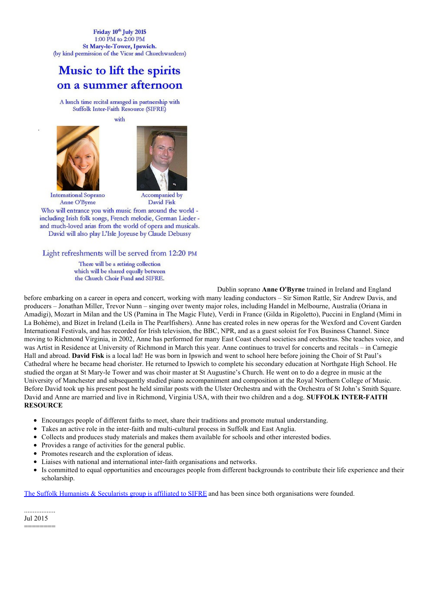Friday 10th July 2015 1:00 PM to 2:00 PM St Mary-le-Tower, Ipswich. (by kind permission of the Vicar and Churchwardens)

## Music to lift the spirits on a summer afternoon

A lunch time recital arranged in partnership with Suffolk Inter-Faith Resource (SIFRE)

with





**International Soprano** Anne O'Byrne

David Fisk

Who will entrance you with music from around the world including Irish folk songs, French melodie, German Lieder and much-loved arias from the world of opera and musicals. David will also play L'Isle Joyeuse by Claude Debussy

Light refreshments will be served from 12:20 PM

There will be a retiring collection which will be shared equally between the Church Choir Fund and SIFRE.

Dublin soprano **Anne [O'Byrne](http://suffolkhands.org.uk/wp-content/uploads/2015/06/150710-Tower-Concert-flyer2_440.jpg)** trained in Ireland and England

before embarking on a career in opera and concert, working with many leading conductors – Sir Simon Rattle, Sir Andrew Davis, and producers – Jonathan Miller, Trevor Nunn – singing over twenty major roles, including Handel in Melbourne, Australia (Oriana in Amadigi), Mozart in Milan and the US (Pamina in The Magic Flute), Verdi in France (Gilda in Rigoletto), Puccini in England (Mimi in La Bohème), and Bizet in Ireland (Leila in The Pearlfishers). Anne has created roles in new operas for the Wexford and Covent Garden International Festivals, and has recorded for Irish television, the BBC, NPR, and as a guest soloist for Fox Business Channel. Since moving to Richmond Virginia, in 2002, Anne has performed for many East Coast choral societies and orchestras. She teaches voice, and was Artist in Residence at University of Richmond in March this year. Anne continues to travel for concerts and recitals – in Carnegie Hall and abroad. **David Fisk** is a local lad! He was born in Ipswich and went to school here before joining the Choir of St Paul's Cathedral where he became head chorister. He returned to Ipswich to complete his secondary education at Northgate High School. He studied the organ at St Mary-le Tower and was choir master at St Augustine's Church. He went on to do a degree in music at the University of Manchester and subsequently studied piano accompaniment and composition at the Royal Northern College of Music. Before David took up his present post he held similar posts with the Ulster Orchestra and with the Orchestra of St John's Smith Square. David and Anne are married and live in Richmond, Virginia USA, with their two children and a dog. **SUFFOLK INTER-FAITH RESOURCE**

- Encourages people of different faiths to meet, share their traditions and promote mutual understanding.
- Takes an active role in the inter-faith and multi-cultural process in Suffolk and East Anglia.
- Collects and produces study materials and makes them available for schools and other interested bodies.
- Provides a range of activities for the general public.
- Promotes research and the exploration of ideas.
- Liaises with national and international inter-faith organisations and networks.
- $\bullet$ Is committed to equal opportunities and encourages people from different backgrounds to contribute their life experience and their scholarship.

The Suffolk Humanists & [Secularists](http://suffolkhands.org.uk/interfaith/) group is affiliated to SIFRE and has been since both organisations were founded.

.................. Jul 2015

========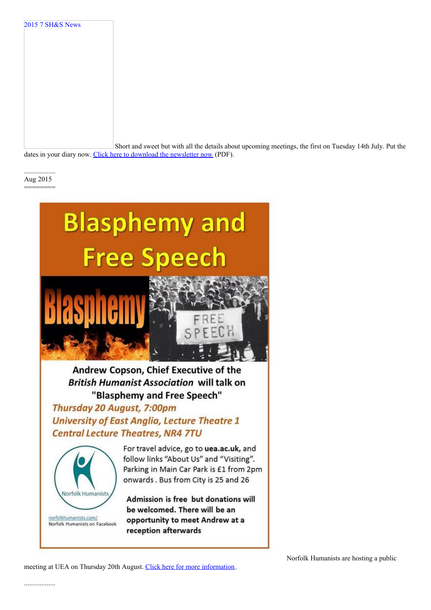Short and sweet but with all the details about upcoming meetings, the first on Tuesday 14th July. Put the

dates in your diary now. Click here to download the [newsletter](http://suffolkhands.org.uk/wp-content/uploads/2015/07/2015-7-SHS-News1.pdf) now (PDF).

.................. Aug 2015 ========

2015 7 SH&S News



# **British Humanist Association will talk on** "Blasphemy and Free Speech"

Thursday 20 August, 7:00pm **University of East Anglia, Lecture Theatre 1 Central Lecture Theatres, NR4 7TU** 



Norfolk Humanists on Facebook

For travel advice, go to uea.ac.uk, and follow links "About Us" and "Visiting". Parking in Main Car Park is £1 from 2pm onwards. Bus from City is 25 and 26

Admission is free but donations will be welcomed. There will be an opportunity to meet Andrew at a reception afterwards

meeting at UEA on Thursday 20th August. Click here for more [information](http://www.norfolkhumanists.com/calendar--events.html).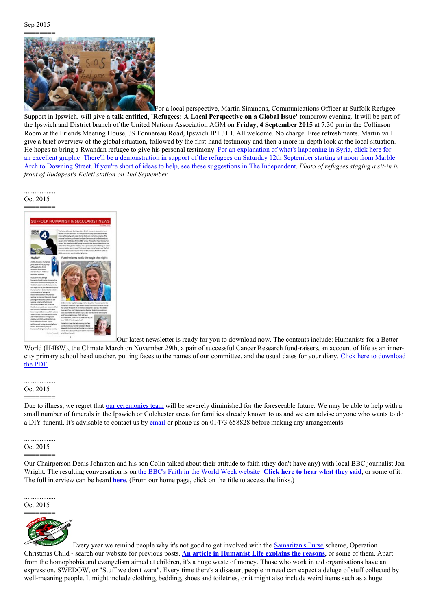## Sep 2015 ========



For a local perspective, Martin Simmons, Communications Officer at Suffolk Refugee Support in Ipswich, will give **a talk entitled, 'Refugees: A Local Perspective on a Global Issue'** tomorrow evening. It will be part of the Ipswich and District branch of the United Nations Association AGM on **Friday, 4 September 2015** at 7:30 pm in the Collinson Room at the Friends Meeting House, 39 Fonnereau Road, Ipswich IP1 3JH. All welcome. No charge. Free refreshments. Martin will give a brief overview of the global situation, followed by the first-hand testimony and then a more in-depth look at the local situation. He hopes to bring a Rwandan refugee to give his personal testimony. For an explanation of what's happening in Syria, click here for an excellent graphic. There'll be a [demonstration](https://www.facebook.com/events/1047978998546751/) in support of the refugees on Saturday 12th September starting at noon from Marble Arch to Downing Street. If you're short of ideas to help, see these suggestions in The [Independent](http://www.independent.co.uk/news/world/europe/5-practical-ways-you-can-help-refugees-trying-to-find-safety-in-europe-10482902.html). *Photo of refugees staging a sit-in in front of Budapest's Keleti station on 2nd September.*

.................. Oct 2015 ========



Our latest newsletter is ready for you to download now. The contents include: Humanists for a Better World (H4BW), the Climate March on November 29th, a pair of successful Cancer Research fund-raisers, an account of life as an innercity primary school head teacher, putting faces to the names of our [committee,](http://suffolkhands.org.uk/wp-content/uploads/2015/10/2015-10-SHS-News.pdf) and the usual dates for your diary. Click here to download the PDF.

## .................. Oct 2015

========

Due to illness, we regret that our [ceremonies](http://suffolkhands.org.uk/ceremonies/team/) team will be severely diminished for the foreseeable future. We may be able to help with a small number of funerals in the Ipswich or Colchester areas for families already known to us and we can advise anyone who wants to do a DIY funeral. It's advisable to contact us by [email](mailto:ceremonies@suffolkhands.org.uk) or phone us on 01473 658828 before making any arrangements.

#### .................. Oct 2015

======== Our Chairperson Denis Johnston and his son Colin talked about their attitude to faith (they don't have any) with local BBC journalist Jon Wright. The resulting conversation is on the BBC's Faith in the World Week [website](http://www.bbc.co.uk/programmes/p0350ylm?page=2). **[Click](http://www.bbc.co.uk/programmes/p0358zj6) here to hear what they said**, or some of it. The full interview can be heard **[here](https://drive.google.com/open?id=0B1xeJzy1E1B2OTlhamNXcXRMQnhPZlM1TmlERHNtQkkzMHdz)**. (From our home page, click on the title to access the links.)

.................. Oct 2015



Every year we remind people why it's not good to get involved with the [Samaritan's](https://www.samaritans-purse.org.uk/) Purse scheme, Operation Christmas Child - search our website for previous posts. **An article in [Humanist](http://humanistlife.org.uk/2015/10/14/why-parents-shouldnt-support-operation-christmas-child/) Life explains the reasons**, or some of them. Apart from the homophobia and evangelism aimed at children, it's a huge waste of money. Those who work in aid organisations have an expression, SWEDOW, or "Stuff we don't want". Every time there's a disaster, people in need can expect a deluge of stuff collected by well-meaning people. It might include clothing, bedding, shoes and toiletries, or it might also include weird items such as a huge